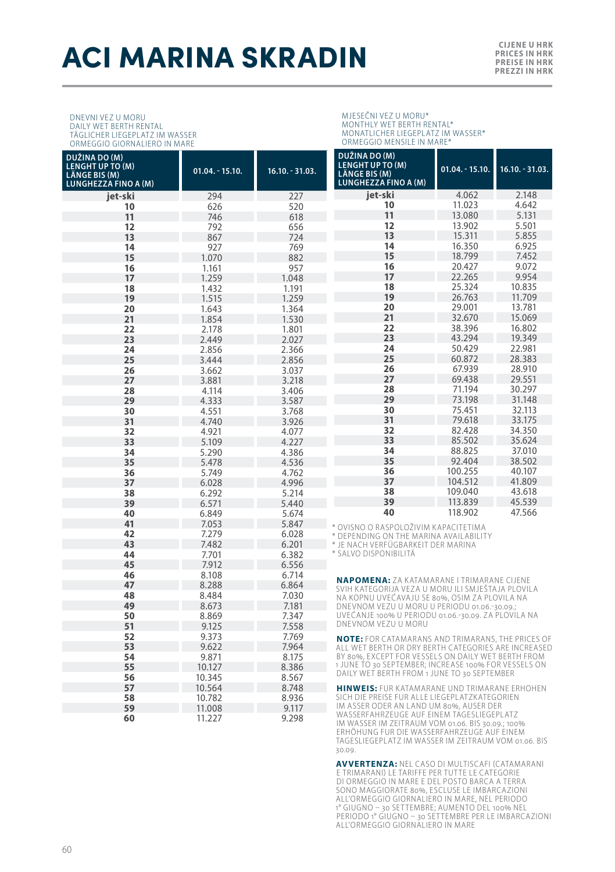## **ACI MARINA SKRADIN CIJENE U HRK**

 10.564 8.748 10.782 8.936<br>**59** 11.008 9.117 11.008 9.117<br>**60** 11.227 9.298 11.227 9.298

DNEVNI VEZ U MORU DAILY WET BERTH RENTAL TÄGLICHER LIEGEPLATZ IM WASSER ORMEGGIO GIORNALIERO IN MARE

**DUŽINA DO (M) LENGHT UP TO (M) LÄNGE BIS (M) LUNGHEZZA FINO A (M) 01.04. - 15.10. 16.10. - 31.03. jet-ski** 294 227 **10** 626 520 **11** 746 618 **12** 792 656 **13** 867 724 **14** 927 769 1.070 882 1.161 957 1.259 1.048 1.432 1.191 1.515 1.259 1.643 1.364 1.854 1.530 2.178 1.801 2.449 2.027 2.856 2.366<br>**25** 3.444 2.856 3.444 2.856 3.662 3.037 3.881 3.218 4.114 3.406 4.333 3.587 4.551 3.768<br>**31** 4.740 3.926 4.740 3.926 4.921 4.077 5.109 4.227 5.290 4.386 5.478 4.536 5.749 4.762 6.028 4.996 6.292 5.214 6.571 5.440 6.849 5.674<br>**41** 7.053 5.847 7.053 5.847 7.279 6.028<br>**43** 7.482 6.201 7.482 6.201 7.701 6.382 7.912 6.556 8.108 6.714 8.288 6.864 8.484 7.030 8.673 7.181<br>**50** 8.869 7.347 8.869 7.347 9.125 7.558 9.373 7.769 9.622 7.964 9.871 8.175 10.127 8.386 10.345 8.567<br> **57** 10.564 8.748 **DUŽINA DO (M) LENGHT UP TO (M) LÄNGE BIS (M) LUNGHEZZA FINO A (M) 01.04. - 15.10. 16.10. - 31.03. jet-ski** 4.062 2.148 11.023 4.642 13.080 5.131<br>**12** 13.902 5.501 13.902 5.501<br>**13** 15.311 5.855 15.311 5.855<br>**14** 16.350 6.925 16.350 6.925 18.799 7.452 20.427 9.072<br>**17** 22.265 9.954 22.265<br>**18** 25.324 25.324 10.835<br>**19** 26.763 11.709 26.763 11.709<br>**20** 29.001 13.781 29.001 13.781 **21** 22.670 15.069 32.670 15.069<br>**22** 38.396 16.802 38.396 16.802 43.294 19.349<br>**24** 50.429 22.981 50.429 22.981<br>**25** 60.872 28.383 60.872<br>**26** 67.939 67.939 28.910 **27** 69.438 71.194 30.297<br>**29** 73.198 31.148 73.198 31.148 75.451 32.113<br>**31** 79.618 33.175 79.618 33.175<br>**32** 82.428 34.350 **32** 82.428 85.502 35.624<br>**34** 88.825 37.010 88.825 37.010 92.404 38.502 100.255 40.107<br> **37** 104.512 41.809 104.512 41.809<br>**38** 109.040 43.618 109.040 43.618 113.839 45.539<br>**40** 118.902 47.566 118.902 OVISNO O RASPOLOŽIVIM KAPACITETIMA \* DEPENDING ON THE MARINA AVAILABILITY \* JE NACH VERFÜGBARKEIT DER MARINA \* SALVO DISPONIBILITÁ **NAPOMENA:** ZA KATAMARANE I TRIMARANE CIJENE<br>SVIH KATEGORIJA VEZA U MORU ILI SMJEŠTAJA PLOVILA<br>NA KOPNU UVEĆAVAJU SE 80%, OSIM ZA PLOVILA NA DNEVNOM VEZU U MORU U PERIODU 01.06.-30.09.; UVEĆANJE 100% U PERIODU 01.06.-30.09. ZA PLOVILA NA DNEVNOM VEZU U MORU **NOTE:** FOR CATAMARANS AND TRIMARANS, THE PRICES OF ALL WET BERTH OR DRY BERTH CATEGORIES ARE INCREASED BY 80%, EXCEPT FOR VESSELS ON DAILY WET BERTH FROM 1 JUNE TO 30 SEPTEMBER; INCREASE 100% FOR VESSELS ON DAILY WET BERTH FROM 1 JUNE TO 30 SEPTEMBER

MJESEČNI VEZ U MORU\* MONTHLY WET BERTH RENTAL\* MONATLICHER LIEGEPLATZ IM WASSER\* ORMEGGIO MENSILE IN MARE\*

**HINWEIS:** FUR KATAMARANE UND TRIMARANE ERHOHEN SICH DIE PREISE FUR ALLE LIEGEPLATZKATEGORIEN IM ASSER ODER AN LAND UM 80%, AUSER DER WASSERFAHRZEUGE AUF EINEM TAGESLIEGEPLATZ IM WASSER IM ZEITRAUM VOM 01.06. BIS 30.09.; 100% ERHÖHUNG FUR DIE WASSERFAHRZEUGE AUF EINEM TAGESLIEGEPLATZ IM WASSER IM ZEITRAUM VOM 01.06. BIS 30.09.

**AVVERTENZA:** NEL CASO DI MULTISCAFI (CATAMARANI E TRIMARANI) LE TARIFFE PER TUT TE LE CATEGORIE DI ORMEGGIO IN MARE E DEL POSTO BARCA A TERRA SONO MAGGIORATE 80%, ESCLUSE LE IMBARCAZIONI ALL'ORMEGGIO GIORNALIERO IN MARE, NEL PERIODO 1° GIUGNO – 30 SET TEMBRE; AUMENTO DEL 100% NEL PERIODO 1° GIUGNO – 30 SET TEMBRE PER LE IMBARCAZIONI ALL'ORMEGGIO GIORNALIERO IN MARE